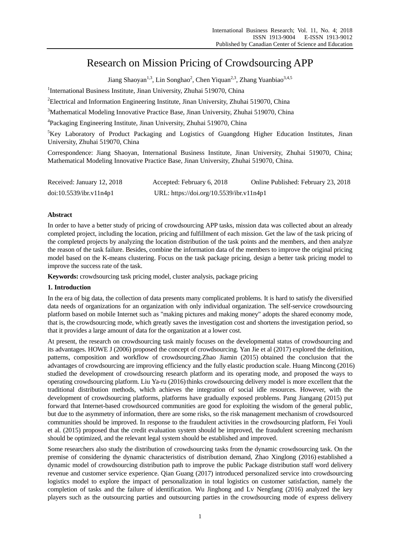# Research on Mission Pricing of Crowdsourcing APP

Jiang Shaoyan<sup>1,3</sup>, Lin Songhao<sup>2</sup>, Chen Yiquan<sup>2,3</sup>, Zhang Yuanbiao<sup>3,4,5</sup>

<sup>1</sup>International Business Institute, Jinan University, Zhuhai 519070, China

<sup>2</sup>Electrical and Information Engineering Institute, Jinan University, Zhuhai 519070, China

<sup>3</sup>Mathematical Modeling Innovative Practice Base, Jinan University, Zhuhai 519070, China

4 Packaging Engineering Institute, Jinan University, Zhuhai 519070, China

<sup>5</sup>Key Laboratory of Product Packaging and Logistics of Guangdong Higher Education Institutes, Jinan University, Zhuhai 519070, China

Correspondence: Jiang Shaoyan, International Business Institute, Jinan University, Zhuhai 519070, China; Mathematical Modeling Innovative Practice Base, Jinan University, Zhuhai 519070, China.

| Received: January 12, 2018 | Accepted: February 6, 2018               | Online Published: February 23, 2018 |
|----------------------------|------------------------------------------|-------------------------------------|
| doi:10.5539/ibr.v11n4p1    | URL: https://doi.org/10.5539/ibr.v11n4p1 |                                     |

# **Abstract**

In order to have a better study of pricing of crowdsourcing APP tasks, mission data was collected about an already completed project, including the location, pricing and fulfillment of each mission. Get the law of the task pricing of the completed projects by analyzing the location distribution of the task points and the members, and then analyze the reason of the task failure. Besides, combine the information data of the members to improve the original pricing model based on the K-means clustering. Focus on the task package pricing, design a better task pricing model to improve the success rate of the task.

**Keywords:** crowdsourcing task pricing model, cluster analysis, package pricing

# **1. Introduction**

In the era of big data, the collection of data presents many complicated problems. It is hard to satisfy the diversified data needs of organizations for an organization with only individual organization. The self-service crowdsourcing platform based on mobile Internet such as "making pictures and making money" adopts the shared economy mode, that is, the crowdsourcing mode, which greatly saves the investigation cost and shortens the investigation period, so that it provides a large amount of data for the organization at a lower cost.

At present, the research on crowdsourcing task mainly focuses on the developmental status of crowdsourcing and its advantages. HOWE J (2006) proposed the concept of crowdsourcing. Yan Jie et al (2017) explored the definition, patterns, composition and workflow of crowdsourcing.Zhao Jiamin (2015) obtained the conclusion that the advantages of crowdsourcing are improving efficiency and the fully elastic production scale. Huang Mincong (2016) studied the development of crowdsourcing research platform and its operating mode, and proposed the ways to operating crowdsourcing platform. Liu Ya-ru (2016) thinks crowdsourcing delivery model is more excellent that the traditional distribution methods, which achieves the integration of social idle resources. However, with the development of crowdsourcing platforms, platforms have gradually exposed problems. Pang Jiangang (2015) put forward that Internet-based crowdsourced communities are good for exploiting the wisdom of the general public, but due to the asymmetry of information, there are some risks, so the risk management mechanism of crowdsourced communities should be improved. In response to the fraudulent activities in the crowdsourcing platform, Fei Youli et al. (2015) proposed that the credit evaluation system should be improved, the fraudulent screening mechanism should be optimized, and the relevant legal system should be established and improved.

Some researchers also study the distribution of crowdsourcing tasks from the dynamic crowdsourcing task. On the premise of considering the dynamic characteristics of distribution demand, Zhao Xinglong (2016) established a dynamic model of crowdsourcing distribution path to improve the public Package distribution staff word delivery revenue and customer service experience. Qian Guang (2017) introduced personalized service into crowdsourcing logistics model to explore the impact of personalization in total logistics on customer satisfaction, namely the completion of tasks and the failure of identification. Wu Jinghong and Lv Nengfang (2016) analyzed the key players such as the outsourcing parties and outsourcing parties in the crowdsourcing mode of express delivery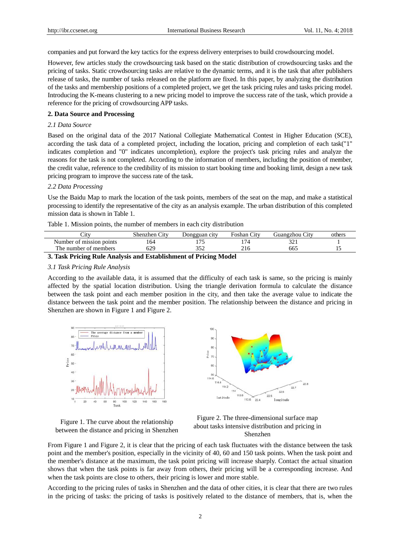companies and put forward the key tactics for the express delivery enterprises to build crowdsourcing model.

However, few articles study the crowdsourcing task based on the static distribution of crowdsourcing tasks and the pricing of tasks. Static crowdsourcing tasks are relative to the dynamic terms, and it is the task that after publishers release of tasks, the number of tasks released on the platform are fixed. In this paper, by analyzing the distribution of the tasks and membership positions of a completed project, we get the task pricing rules and tasks pricing model. Introducing the K-means clustering to a new pricing model to improve the success rate of the task, which provide a reference for the pricing of crowdsourcing APP tasks.

# 2. Data Source and Processing

## *2.1 Data S Source*

Based on the original data of the 2017 National Collegiate Mathematical Contest in Higher Education (SCE), according the task data of a completed project, including the location, pricing and completion of each task("1" indicates completion and "0" indicates uncompletion), explore the project's task pricing rules and analyze the reasons for the task is not completed. According to the information of members, including the position of member, the credit value, reference to the credibility of its mission to start booking time and booking limit, design a new task pricing program to improve the success rate of the task.

#### *2.2 Data P Processing*

Use the Baidu Map to mark the location of the task points, members of the seat on the map, and make a statistical processing to identify the representative of the city as an analysis example. The urban distribution of this completed mission data is shown in Table 1.

| Table 1. Mission points, the number of members in each city distribution |  |  |  |  |  |  |  |  |
|--------------------------------------------------------------------------|--|--|--|--|--|--|--|--|
|--------------------------------------------------------------------------|--|--|--|--|--|--|--|--|

| $\mathcal{L}1\mathcal{U}$            | $\sim$ .<br>shenzhen <i>'</i><br>$\mathcal{L}1\mathcal{U}$ | . C1tv<br>Dongguan | $\sim$<br>'nπ<br>Foshan | $\mathcal{L}1\mathcal{U}$<br>Guangzhou | others |
|--------------------------------------|------------------------------------------------------------|--------------------|-------------------------|----------------------------------------|--------|
| . .<br>of mission points :<br>Number | 164                                                        | . .                |                         | --<br>---                              |        |
| Ē<br>members<br>I he number<br>ОT    | ະລເ<br>UZ.                                                 | ית ה<br>⊿ب         | 410                     | 665                                    | . .    |

## 3. Task Pricing Rule Analysis and Establishment of Pricing Model

#### *3.1 Task P Pricing Rule An nalysis*

According to the available data, it is assumed that the difficulty of each task is same, so the pricing is mainly affected by the spatial location distribution. Using the triangle derivation formula to calculate the distance between the task point and each member position in the city, and then take the average value to indicate the distance between the task point and the member position. The relationship between the distance and pricing in Shenzhen are shown in Figure 1 and Figure 2.









From Figure 1 and Figure 2, it is clear that the pricing of each task fluctuates with the distance between the task point and the member's position, especially in the vicinity of 40, 60 and 150 task points. When the task point and the member's distance at the maximum, the task point pricing will increase sharply. Contact the actual situation shows that when the task points is far away from others, their pricing will be a corresponding increase. And when the task points are close to others, their pricing is lower and more stable.

According to the pricing rules of tasks in Shenzhen and the data of other cities, it is clear that there are two rules in the pricing of tasks: the pricing of tasks is positively related to the distance of members, that is, when the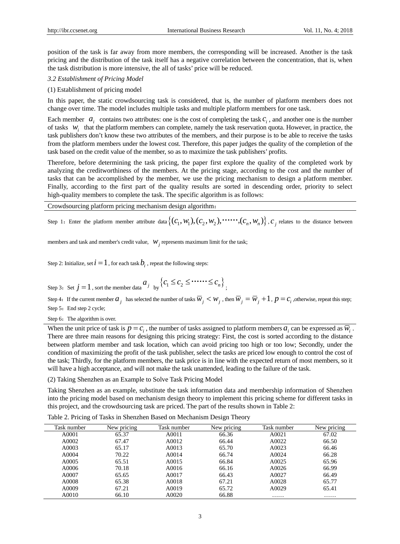position of the task is far away from more members, the corresponding will be increased. Another is the task pricing and the distribution of the task itself has a negative correlation between the concentration, that is, when the task distribution is more intensive, the all of tasks' price will be reduced.

## *3.2 Establishment of Pricing Model*

#### (1) Establishment of pricing model

In this paper, the static crowdsourcing task is considered, that is, the number of platform members does not change over time. The model includes multiple tasks and multiple platform members for one task.

Each member  $a_i$  contains two attributes: one is the cost of completing the task  $c_i$ , and another one is the number of tasks  $W_i$  that the platform members can complete, namely the task reservation quota. However, in practice, the task publishers don't know these two attributes of the members, and their purpose is to be able to receive the tasks from the platform members under the lowest cost. Therefore, this paper judges the quality of the completion of the task based on the credit value of the member, so as to maximize the task publishers' profits.

Therefore, before determining the task pricing, the paper first explore the quality of the completed work by analyzing the creditworthiness of the members. At the pricing stage, according to the cost and the number of tasks that can be accomplished by the member, we use the pricing mechanism to design a platform member. Finally, according to the first part of the quality results are sorted in descending order, priority to select high-quality members to complete the task. The specific algorithm is as follows:

Crowdsourcing platform pricing mechanism design algorithm:

Step 1: Enter the platform member attribute data  $\{(c_1, w_1), (c_2, w_2), \cdots, (c_n, w_n)\}, c_i$  relates to the distance between

members and task and member's credit value,  $W_i$  represents maximum limit for the task;

Step 2: Initialize, set  $i = 1$ , for each task  $b_i$ , repeat the following steps:

Step 3: Set  $j = 1$ , sort the member data  $a_j$  by  $\{c_1 \le c_2 \le \cdots \le c_n\}$ ,

Step 4: If the current member  $a_j$  has selected the number of tasks  $\overline{w}_i < w_j$ , then  $\overline{w}_i = \overline{w}_i + 1$ ,  $p = c_j$ , otherwise, repeat this step; Step 5: End step 2 cycle;

Step 6: The algorithm is over.

When the unit price of task is  $p = c_i$ , the number of tasks assigned to platform members  $a_i$  can be expressed as  $\overline{w_i}$ . There are three main reasons for designing this pricing strategy: First, the cost is sorted according to the distance between platform member and task location, which can avoid pricing too high or too low; Secondly, under the condition of maximizing the profit of the task publisher, select the tasks are priced low enough to control the cost of the task; Thirdly, for the platform members, the task price is in line with the expected return of most members, so it will have a high acceptance, and will not make the task unattended, leading to the failure of the task.

(2) Taking Shenzhen as an Example to Solve Task Pricing Model

Taking Shenzhen as an example, substitute the task information data and membership information of Shenzhen into the pricing model based on mechanism design theory to implement this pricing scheme for different tasks in this project, and the crowdsourcing task are priced. The part of the results shown in Table 2:

Table 2. Pricing of Tasks in Shenzhen Based on Mechanism Design Theory

| Task number | New pricing | Task number | New pricing | Task number | New pricing |
|-------------|-------------|-------------|-------------|-------------|-------------|
| A0001       | 65.37       | A0011       | 66.36       | A0021       | 67.02       |
| A0002       | 67.47       | A0012       | 66.44       | A0022       | 66.50       |
| A0003       | 65.17       | A0013       | 65.70       | A0023       | 66.46       |
| A0004       | 70.22       | A0014       | 66.74       | A0024       | 66.28       |
| A0005       | 65.51       | A0015       | 66.84       | A0025       | 65.96       |
| A0006       | 70.18       | A0016       | 66.16       | A0026       | 66.99       |
| A0007       | 65.65       | A0017       | 66.43       | A0027       | 66.49       |
| A0008       | 65.38       | A0018       | 67.21       | A0028       | 65.77       |
| A0009       | 67.21       | A0019       | 65.72       | A0029       | 65.41       |
| A0010       | 66.10       | A0020       | 66.88       | .           | .           |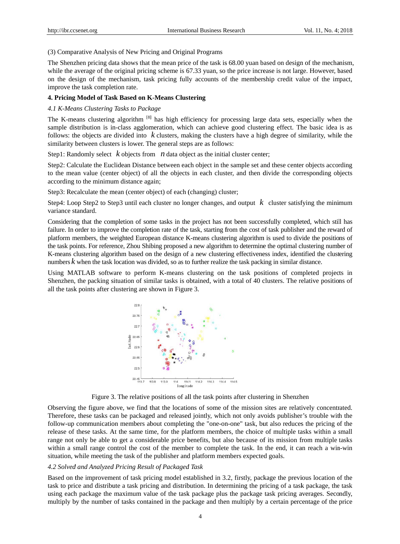## (3) Comparative Analysis of New Pricing and Original Programs

The Shenzhen pricing data shows that the mean price of the task is 68.00 yuan based on design of the mechanism, while the average of the original pricing scheme is 67.33 yuan, so the price increase is not large. However, based on the design of the mechanism, task pricing fully accounts of the membership credit value of the impact, improve the task completion rate.

## **4. Pricing Model of Tas sk Based on K K-Means Clus tering**

# 4.1 K-Means Clustering Tasks to Package

The K-means clustering algorithm<sup>[8]</sup> has high efficiency for processing large data sets, especially when the sample distribution is in-class agglomeration, which can achieve good clustering effect. The basic idea is as follows: the objects are divided into  $k$  clusters, making the clusters have a high degree of similarity, while the similarity between clusters is lower. The general steps are as follows:

Step1: Randomly select  $k$  objects from  $n$  data object as the initial cluster center;

Step2: Calculate the Euclidean Distance between each object in the sample set and these center objects according to the mean value (center object) of all the objects in each cluster, and then divide the corresponding objects according to the minimum distance again;

Step3: Recalculate the mean (center object) of each (changing) cluster;

Step4: Loop Step2 to Step3 until each cluster no longer changes, and output  $k$  cluster satisfying the minimum variance standard.

Considering that the completion of some tasks in the project has not been successfully completed, which still has failure. In order to improve the completion rate of the task, starting from the cost of task publisher and the reward of platform members, the weighted European distance K-means clustering algorithm is used to divide the positions of the task points. For reference, Zhou Shibing proposed a new algorithm to determine the optimal clustering number of K-means clustering algorithm based on the design of a new clustering effectiveness index, identified the clustering numbers  $k$  when the task location was divided, so as to further realize the task packing in similar distance.

Using MATLAB software to perform K-means clustering on the task positions of completed projects in Shenzhen, the packing situation of similar tasks is obtained, with a total of 40 clusters. The relative positions of all the task points after clustering are shown in Figure 3.



Figure 3. The relative positions of all the task points after clustering in Shenzhen

Observing the figure above, we find that the locations of some of the mission sites are relatively concentrated. Therefore, these tasks can be packaged and released jointly, which not only avoids publisher's trouble with the follow-up communication members about completing the "one-on-one" task, but also reduces the pricing of the release of these tasks. At the same time, for the platform members, the choice of multiple tasks within a small range not only be able to get a considerable price benefits, but also because of its mission from multiple tasks within a small range control the cost of the member to complete the task. In the end, it can reach a win-win situation, while meeting the task of the publisher and platform members expected goals.

#### 4.2 Solved and Analyzed Pricing Result of Packaged Task

Based on the improvement of task pricing model established in 3.2, firstly, package the previous location of the task to price and distribute a task pricing and distribution. In determining the pricing of a task package, the task using each package the maximum value of the task package plus the package task pricing averages. Secondly, multiply by the number of tasks contained in the package and then multiply by a certain percentage of the price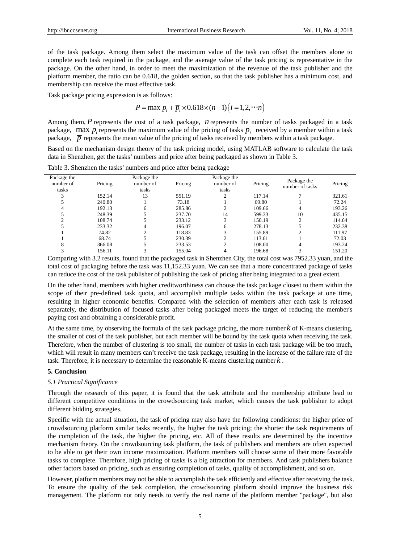of the task package. Among them select the maximum value of the task can offset the members alone to complete each task required in the package, and the average value of the task pricing is representative in the package. On the other hand, in order to meet the maximization of the revenue of the task publisher and the platform member, the ratio can be 0.618, the golden section, so that the task publisher has a minimum cost, and membership can receive the most effective task.

Task package pricing expression is as follows:

$$
P = \max p_i + \overline{p}_i \times 0.618 \times (n-1)\{i = 1, 2, \cdots n\}
$$

Among them, *P* represents the cost of a task package, *n* represents the number of tasks packaged in a task package, max  $p_i$  represents the maximum value of the pricing of tasks  $p_i$  received by a member within a task package,  $\bar{p}$  represents the mean value of the pricing of tasks received by members within a task package.

Based on the mechanism design theory of the task pricing model, using MATLAB software to calculate the task data in Shenzhen, get the tasks' numbers and price after being packaged as shown in Table 3.

Table 3. Shenzhen the tasks' numbers and price after being package

| Package the<br>number of<br>tasks | Pricing | Package the<br>number of<br>tasks | Pricing | Package the<br>number of<br>tasks | Pricing | Package the<br>number of tasks | Pricing |
|-----------------------------------|---------|-----------------------------------|---------|-----------------------------------|---------|--------------------------------|---------|
|                                   | 152.14  | 13                                | 551.19  | ◠                                 | 117.14  |                                | 321.61  |
|                                   | 240.80  |                                   | 73.18   |                                   | 69.80   |                                | 72.24   |
|                                   | 192.13  | 6                                 | 285.86  |                                   | 109.66  | 4                              | 193.26  |
|                                   | 248.39  |                                   | 237.70  | 14                                | 599.33  | 10                             | 435.15  |
|                                   | 108.74  |                                   | 233.12  | 3                                 | 150.19  | ◠                              | 114.64  |
|                                   | 233.32  |                                   | 196.07  | 6                                 | 278.13  |                                | 232.38  |
|                                   | 74.82   | ◠                                 | 118.83  |                                   | 155.89  |                                | 111.97  |
|                                   | 68.74   |                                   | 230.39  |                                   | 113.61  |                                | 72.03   |
|                                   | 366.08  |                                   | 233.53  |                                   | 108.00  | 4                              | 193.24  |
|                                   | 156.11  |                                   | 155.04  |                                   | 196.68  |                                | 151.20  |

Comparing with 3.2 results, found that the packaged task in Shenzhen City, the total cost was 7952.33 yuan, and the total cost of packaging before the task was 11,152.33 yuan. We can see that a more concentrated package of tasks can reduce the cost of the task publisher of publishing the task of pricing after being integrated to a great extent.

On the other hand, members with higher creditworthiness can choose the task package closest to them within the scope of their pre-defined task quota, and accomplish multiple tasks within the task package at one time, resulting in higher economic benefits. Compared with the selection of members after each task is released separately, the distribution of focused tasks after being packaged meets the target of reducing the member's paying cost and obtaining a considerable profit.

At the same time, by observing the formula of the task package pricing, the more number *k* of K-means clustering, the smaller of cost of the task publisher, but each member will be bound by the task quota when receiving the task. Therefore, when the number of clustering is too small, the number of tasks in each task package will be too much, which will result in many members can't receive the task package, resulting in the increase of the failure rate of the task. Therefore, it is necessary to determine the reasonable K-means clustering number *k* .

## **5. Conclusion**

## *5.1 Practical Significance*

Through the research of this paper, it is found that the task attribute and the membership attribute lead to different competitive conditions in the crowdsourcing task market, which causes the task publisher to adopt different bidding strategies.

Specific with the actual situation, the task of pricing may also have the following conditions: the higher price of crowdsourcing platform similar tasks recently, the higher the task pricing; the shorter the task requirements of the completion of the task, the higher the pricing, etc. All of these results are determined by the incentive mechanism theory. On the crowdsourcing task platform, the task of publishers and members are often expected to be able to get their own income maximization. Platform members will choose some of their more favorable tasks to complete. Therefore, high pricing of tasks is a big attraction for members. And task publishers balance other factors based on pricing, such as ensuring completion of tasks, quality of accomplishment, and so on.

However, platform members may not be able to accomplish the task efficiently and effective after receiving the task. To ensure the quality of the task completion, the crowdsourcing platform should improve the business risk management. The platform not only needs to verify the real name of the platform member "package", but also